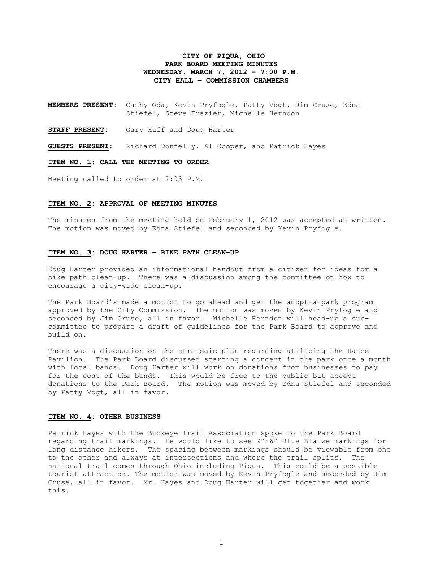## **CITY OF PIQUA, OHIO PARK BOARD MEETING MINUTES WEDNESDAY, MARCH 7, 2012 – 7:00 P.M. CITY HALL – COMMISSION CHAMBERS**

**MEMBERS PRESENT:** Cathy Oda, Kevin Pryfogle, Patty Vogt, Jim Cruse, Edna Stiefel, Steve Frazier, Michelle Herndon

**STAFF PRESENT:** Gary Huff and Doug Harter

**GUESTS PRESENT**: Richard Donnelly, Al Cooper, and Patrick Hayes

**ITEM NO. 1: CALL THE MEETING TO ORDER** 

Meeting called to order at 7:03 P.M.

### **ITEM NO. 2: APPROVAL OF MEETING MINUTES**

The minutes from the meeting held on February 1, 2012 was accepted as written. The motion was moved by Edna Stiefel and seconded by Kevin Pryfogle.

#### **ITEM NO. 3: DOUG HARTER – BIKE PATH CLEAN-UP**

Doug Harter provided an informational handout from a citizen for ideas for a bike path clean-up. There was a discussion among the committee on how to encourage a city-wide clean-up.

The Park Board's made a motion to go ahead and get the adopt-a-park program approved by the City Commission. The motion was moved by Kevin Pryfogle and seconded by Jim Cruse, all in favor. Michelle Herndon will head-up a subcommittee to prepare a draft of guidelines for the Park Board to approve and build on.

There was a discussion on the strategic plan regarding utilizing the Hance Pavilion. The Park Board discussed starting a concert in the park once a month with local bands. Doug Harter will work on donations from businesses to pay for the cost of the bands. This would be free to the public but accept donations to the Park Board. The motion was moved by Edna Stiefel and seconded by Patty Vogt, all in favor.

#### **ITEM NO. 4: OTHER BUSINESS**

Patrick Hayes with the Buckeye Trail Association spoke to the Park Board regarding trail markings. He would like to see 2"x6" Blue Blaize markings for long distance hikers. The spacing between markings should be viewable from one to the other and always at intersections and where the trail splits. The national trail comes through Ohio including Piqua. This could be a possible tourist attraction. The motion was moved by Kevin Pryfogle and seconded by Jim Cruse, all in favor. Mr. Hayes and Doug Harter will get together and work this.